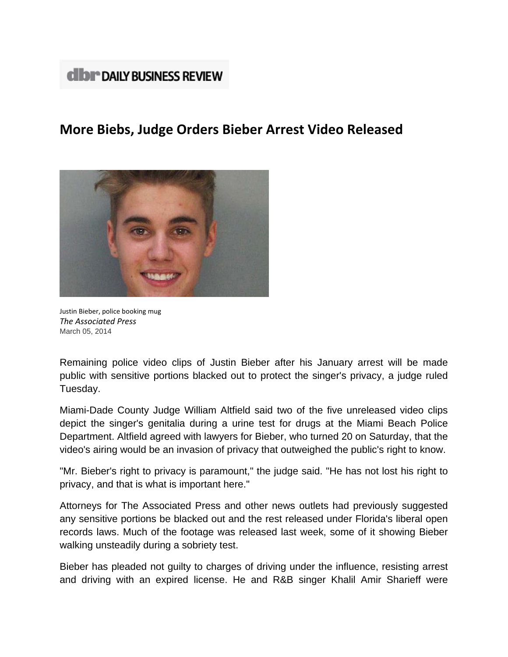## **dibr** DAILY BUSINESS REVIEW

## **More Biebs, Judge Orders Bieber Arrest Video Released**



Justin Bieber, police booking mug *The Associated Press* March 05, 2014

Remaining police video clips of Justin Bieber after his January arrest will be made public with sensitive portions blacked out to protect the singer's privacy, a judge ruled Tuesday.

Miami-Dade County Judge William Altfield said two of the five unreleased video clips depict the singer's genitalia during a urine test for drugs at the Miami Beach Police Department. Altfield agreed with lawyers for Bieber, who turned 20 on Saturday, that the video's airing would be an invasion of privacy that outweighed the public's right to know.

"Mr. Bieber's right to privacy is paramount," the judge said. "He has not lost his right to privacy, and that is what is important here."

Attorneys for The Associated Press and other news outlets had previously suggested any sensitive portions be blacked out and the rest released under Florida's liberal open records laws. Much of the footage was released last week, some of it showing Bieber walking unsteadily during a sobriety test.

Bieber has pleaded not guilty to charges of driving under the influence, resisting arrest and driving with an expired license. He and R&B singer Khalil Amir Sharieff were